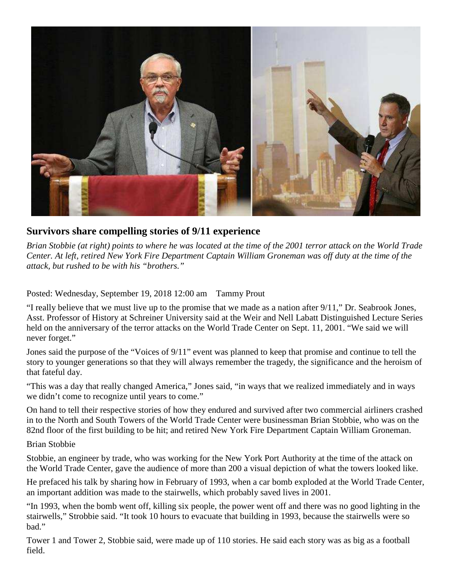

## **Survivors share compelling stories of 9/11 experience**

*Brian Stobbie (at right) points to where he was located at the time of the 2001 terror attack on the World Trade Center. At left, retired New York Fire Department Captain William Groneman was off duty at the time of the attack, but rushed to be with his "brothers."* 

Posted: Wednesday, September 19, 2018 12:00 am Tammy Prout

"I really believe that we must live up to the promise that we made as a nation after 9/11," Dr. Seabrook Jones, Asst. Professor of History at Schreiner University said at the Weir and Nell Labatt Distinguished Lecture Series held on the anniversary of the terror attacks on the World Trade Center on Sept. 11, 2001. "We said we will never forget."

Jones said the purpose of the "Voices of 9/11" event was planned to keep that promise and continue to tell the story to younger generations so that they will always remember the tragedy, the significance and the heroism of that fateful day.

"This was a day that really changed America," Jones said, "in ways that we realized immediately and in ways we didn't come to recognize until years to come."

On hand to tell their respective stories of how they endured and survived after two commercial airliners crashed in to the North and South Towers of the World Trade Center were businessman Brian Stobbie, who was on the 82nd floor of the first building to be hit; and retired New York Fire Department Captain William Groneman.

Brian Stobbie

Stobbie, an engineer by trade, who was working for the New York Port Authority at the time of the attack on the World Trade Center, gave the audience of more than 200 a visual depiction of what the towers looked like.

He prefaced his talk by sharing how in February of 1993, when a car bomb exploded at the World Trade Center, an important addition was made to the stairwells, which probably saved lives in 2001.

"In 1993, when the bomb went off, killing six people, the power went off and there was no good lighting in the stairwells," Strobbie said. "It took 10 hours to evacuate that building in 1993, because the stairwells were so bad."

Tower 1 and Tower 2, Stobbie said, were made up of 110 stories. He said each story was as big as a football field.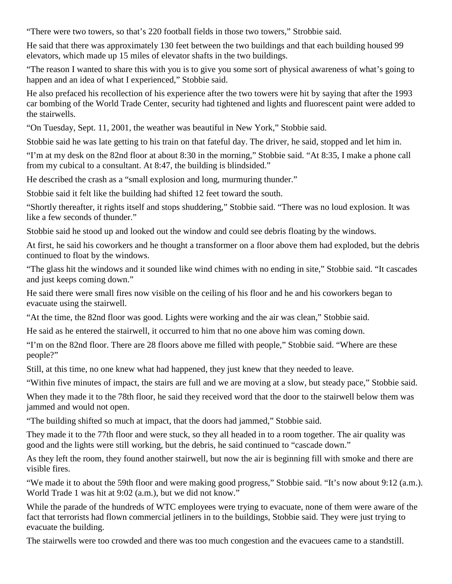"There were two towers, so that's 220 football fields in those two towers," Strobbie said.

He said that there was approximately 130 feet between the two buildings and that each building housed 99 elevators, which made up 15 miles of elevator shafts in the two buildings.

"The reason I wanted to share this with you is to give you some sort of physical awareness of what's going to happen and an idea of what I experienced," Stobbie said.

He also prefaced his recollection of his experience after the two towers were hit by saying that after the 1993 car bombing of the World Trade Center, security had tightened and lights and fluorescent paint were added to the stairwells.

"On Tuesday, Sept. 11, 2001, the weather was beautiful in New York," Stobbie said.

Stobbie said he was late getting to his train on that fateful day. The driver, he said, stopped and let him in.

"I'm at my desk on the 82nd floor at about 8:30 in the morning," Stobbie said. "At 8:35, I make a phone call from my cubical to a consultant. At 8:47, the building is blindsided."

He described the crash as a "small explosion and long, murmuring thunder."

Stobbie said it felt like the building had shifted 12 feet toward the south.

"Shortly thereafter, it rights itself and stops shuddering," Stobbie said. "There was no loud explosion. It was like a few seconds of thunder."

Stobbie said he stood up and looked out the window and could see debris floating by the windows.

At first, he said his coworkers and he thought a transformer on a floor above them had exploded, but the debris continued to float by the windows.

"The glass hit the windows and it sounded like wind chimes with no ending in site," Stobbie said. "It cascades and just keeps coming down."

He said there were small fires now visible on the ceiling of his floor and he and his coworkers began to evacuate using the stairwell.

"At the time, the 82nd floor was good. Lights were working and the air was clean," Stobbie said.

He said as he entered the stairwell, it occurred to him that no one above him was coming down.

"I'm on the 82nd floor. There are 28 floors above me filled with people," Stobbie said. "Where are these people?"

Still, at this time, no one knew what had happened, they just knew that they needed to leave.

"Within five minutes of impact, the stairs are full and we are moving at a slow, but steady pace," Stobbie said.

When they made it to the 78th floor, he said they received word that the door to the stairwell below them was jammed and would not open.

"The building shifted so much at impact, that the doors had jammed," Stobbie said.

They made it to the 77th floor and were stuck, so they all headed in to a room together. The air quality was good and the lights were still working, but the debris, he said continued to "cascade down."

As they left the room, they found another stairwell, but now the air is beginning fill with smoke and there are visible fires.

"We made it to about the 59th floor and were making good progress," Stobbie said. "It's now about 9:12 (a.m.). World Trade 1 was hit at 9:02 (a.m.), but we did not know."

While the parade of the hundreds of WTC employees were trying to evacuate, none of them were aware of the fact that terrorists had flown commercial jetliners in to the buildings, Stobbie said. They were just trying to evacuate the building.

The stairwells were too crowded and there was too much congestion and the evacuees came to a standstill.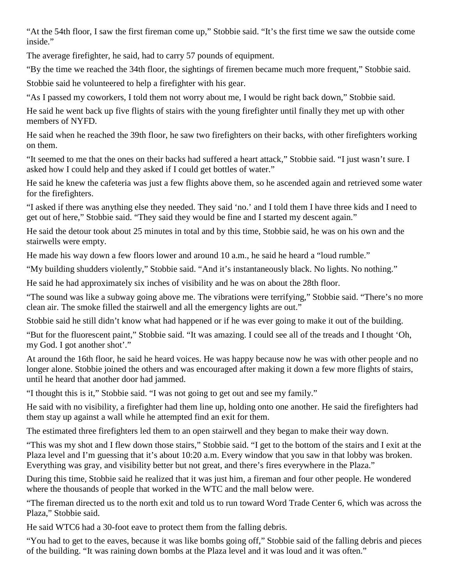"At the 54th floor, I saw the first fireman come up," Stobbie said. "It's the first time we saw the outside come inside."

The average firefighter, he said, had to carry 57 pounds of equipment.

"By the time we reached the 34th floor, the sightings of firemen became much more frequent," Stobbie said.

Stobbie said he volunteered to help a firefighter with his gear.

"As I passed my coworkers, I told them not worry about me, I would be right back down," Stobbie said.

He said he went back up five flights of stairs with the young firefighter until finally they met up with other members of NYFD.

He said when he reached the 39th floor, he saw two firefighters on their backs, with other firefighters working on them.

"It seemed to me that the ones on their backs had suffered a heart attack," Stobbie said. "I just wasn't sure. I asked how I could help and they asked if I could get bottles of water."

He said he knew the cafeteria was just a few flights above them, so he ascended again and retrieved some water for the firefighters.

"I asked if there was anything else they needed. They said 'no.' and I told them I have three kids and I need to get out of here," Stobbie said. "They said they would be fine and I started my descent again."

He said the detour took about 25 minutes in total and by this time, Stobbie said, he was on his own and the stairwells were empty.

He made his way down a few floors lower and around 10 a.m., he said he heard a "loud rumble."

"My building shudders violently," Stobbie said. "And it's instantaneously black. No lights. No nothing."

He said he had approximately six inches of visibility and he was on about the 28th floor.

"The sound was like a subway going above me. The vibrations were terrifying," Stobbie said. "There's no more clean air. The smoke filled the stairwell and all the emergency lights are out."

Stobbie said he still didn't know what had happened or if he was ever going to make it out of the building.

"But for the fluorescent paint," Stobbie said. "It was amazing. I could see all of the treads and I thought 'Oh, my God. I got another shot'."

At around the 16th floor, he said he heard voices. He was happy because now he was with other people and no longer alone. Stobbie joined the others and was encouraged after making it down a few more flights of stairs, until he heard that another door had jammed.

"I thought this is it," Stobbie said. "I was not going to get out and see my family."

He said with no visibility, a firefighter had them line up, holding onto one another. He said the firefighters had them stay up against a wall while he attempted find an exit for them.

The estimated three firefighters led them to an open stairwell and they began to make their way down.

"This was my shot and I flew down those stairs," Stobbie said. "I get to the bottom of the stairs and I exit at the Plaza level and I'm guessing that it's about 10:20 a.m. Every window that you saw in that lobby was broken. Everything was gray, and visibility better but not great, and there's fires everywhere in the Plaza."

During this time, Stobbie said he realized that it was just him, a fireman and four other people. He wondered where the thousands of people that worked in the WTC and the mall below were.

"The fireman directed us to the north exit and told us to run toward Word Trade Center 6, which was across the Plaza," Stobbie said.

He said WTC6 had a 30-foot eave to protect them from the falling debris.

"You had to get to the eaves, because it was like bombs going off," Stobbie said of the falling debris and pieces of the building. "It was raining down bombs at the Plaza level and it was loud and it was often."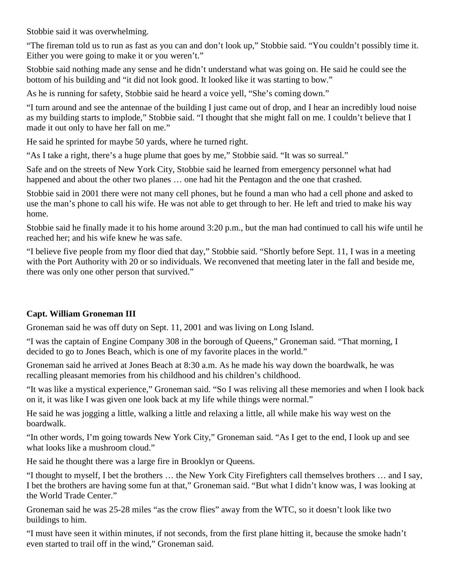Stobbie said it was overwhelming.

"The fireman told us to run as fast as you can and don't look up," Stobbie said. "You couldn't possibly time it. Either you were going to make it or you weren't."

Stobbie said nothing made any sense and he didn't understand what was going on. He said he could see the bottom of his building and "it did not look good. It looked like it was starting to bow."

As he is running for safety, Stobbie said he heard a voice yell, "She's coming down."

"I turn around and see the antennae of the building I just came out of drop, and I hear an incredibly loud noise as my building starts to implode," Stobbie said. "I thought that she might fall on me. I couldn't believe that I made it out only to have her fall on me."

He said he sprinted for maybe 50 yards, where he turned right.

"As I take a right, there's a huge plume that goes by me," Stobbie said. "It was so surreal."

Safe and on the streets of New York City, Stobbie said he learned from emergency personnel what had happened and about the other two planes … one had hit the Pentagon and the one that crashed.

Stobbie said in 2001 there were not many cell phones, but he found a man who had a cell phone and asked to use the man's phone to call his wife. He was not able to get through to her. He left and tried to make his way home.

Stobbie said he finally made it to his home around 3:20 p.m., but the man had continued to call his wife until he reached her; and his wife knew he was safe.

"I believe five people from my floor died that day," Stobbie said. "Shortly before Sept. 11, I was in a meeting with the Port Authority with 20 or so individuals. We reconvened that meeting later in the fall and beside me, there was only one other person that survived."

## **Capt. William Groneman III**

Groneman said he was off duty on Sept. 11, 2001 and was living on Long Island.

"I was the captain of Engine Company 308 in the borough of Queens," Groneman said. "That morning, I decided to go to Jones Beach, which is one of my favorite places in the world."

Groneman said he arrived at Jones Beach at 8:30 a.m. As he made his way down the boardwalk, he was recalling pleasant memories from his childhood and his children's childhood.

"It was like a mystical experience," Groneman said. "So I was reliving all these memories and when I look back on it, it was like I was given one look back at my life while things were normal."

He said he was jogging a little, walking a little and relaxing a little, all while make his way west on the boardwalk.

"In other words, I'm going towards New York City," Groneman said. "As I get to the end, I look up and see what looks like a mushroom cloud."

He said he thought there was a large fire in Brooklyn or Queens.

"I thought to myself, I bet the brothers … the New York City Firefighters call themselves brothers … and I say, I bet the brothers are having some fun at that," Groneman said. "But what I didn't know was, I was looking at the World Trade Center."

Groneman said he was 25-28 miles "as the crow flies" away from the WTC, so it doesn't look like two buildings to him.

"I must have seen it within minutes, if not seconds, from the first plane hitting it, because the smoke hadn't even started to trail off in the wind," Groneman said.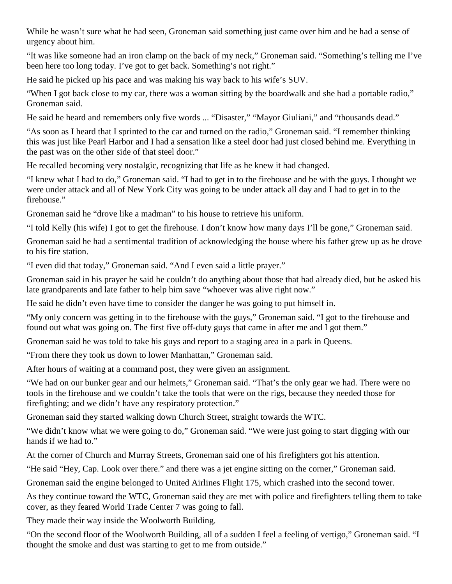While he wasn't sure what he had seen, Groneman said something just came over him and he had a sense of urgency about him.

"It was like someone had an iron clamp on the back of my neck," Groneman said. "Something's telling me I've been here too long today. I've got to get back. Something's not right."

He said he picked up his pace and was making his way back to his wife's SUV.

"When I got back close to my car, there was a woman sitting by the boardwalk and she had a portable radio," Groneman said.

He said he heard and remembers only five words ... "Disaster," "Mayor Giuliani," and "thousands dead."

"As soon as I heard that I sprinted to the car and turned on the radio," Groneman said. "I remember thinking this was just like Pearl Harbor and I had a sensation like a steel door had just closed behind me. Everything in the past was on the other side of that steel door."

He recalled becoming very nostalgic, recognizing that life as he knew it had changed.

"I knew what I had to do," Groneman said. "I had to get in to the firehouse and be with the guys. I thought we were under attack and all of New York City was going to be under attack all day and I had to get in to the firehouse."

Groneman said he "drove like a madman" to his house to retrieve his uniform.

"I told Kelly (his wife) I got to get the firehouse. I don't know how many days I'll be gone," Groneman said.

Groneman said he had a sentimental tradition of acknowledging the house where his father grew up as he drove to his fire station.

"I even did that today," Groneman said. "And I even said a little prayer."

Groneman said in his prayer he said he couldn't do anything about those that had already died, but he asked his late grandparents and late father to help him save "whoever was alive right now."

He said he didn't even have time to consider the danger he was going to put himself in.

"My only concern was getting in to the firehouse with the guys," Groneman said. "I got to the firehouse and found out what was going on. The first five off-duty guys that came in after me and I got them."

Groneman said he was told to take his guys and report to a staging area in a park in Queens.

"From there they took us down to lower Manhattan," Groneman said.

After hours of waiting at a command post, they were given an assignment.

"We had on our bunker gear and our helmets," Groneman said. "That's the only gear we had. There were no tools in the firehouse and we couldn't take the tools that were on the rigs, because they needed those for firefighting; and we didn't have any respiratory protection."

Groneman said they started walking down Church Street, straight towards the WTC.

"We didn't know what we were going to do," Groneman said. "We were just going to start digging with our hands if we had to."

At the corner of Church and Murray Streets, Groneman said one of his firefighters got his attention.

"He said "Hey, Cap. Look over there." and there was a jet engine sitting on the corner," Groneman said.

Groneman said the engine belonged to United Airlines Flight 175, which crashed into the second tower.

As they continue toward the WTC, Groneman said they are met with police and firefighters telling them to take cover, as they feared World Trade Center 7 was going to fall.

They made their way inside the Woolworth Building.

"On the second floor of the Woolworth Building, all of a sudden I feel a feeling of vertigo," Groneman said. "I thought the smoke and dust was starting to get to me from outside."